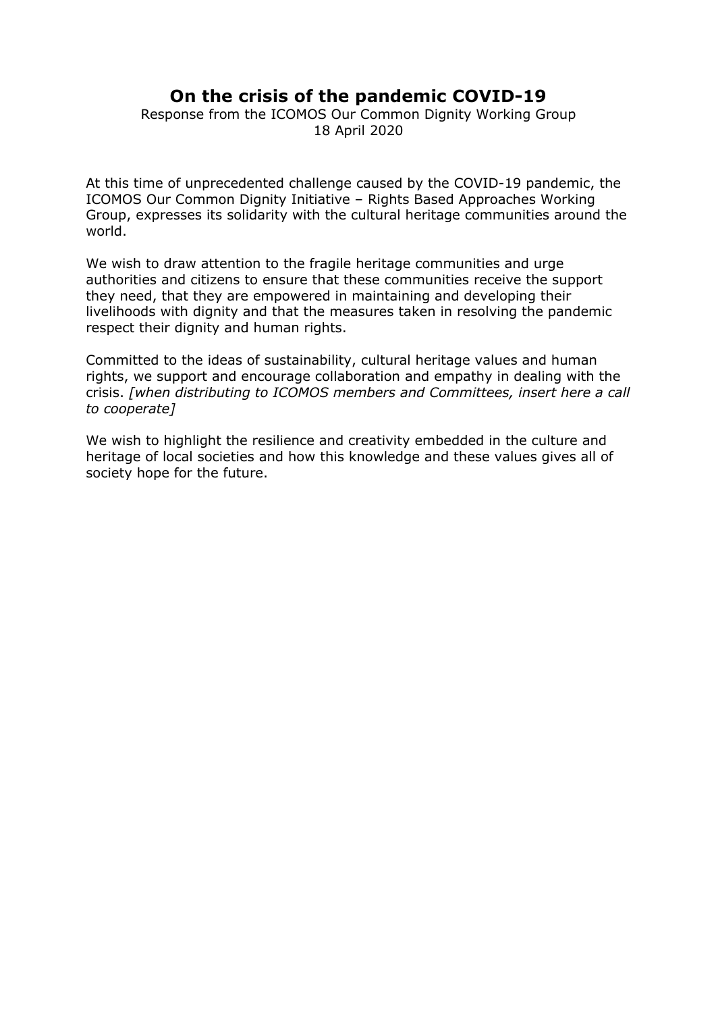## **On the crisis of the pandemic COVID-19**

Response from the ICOMOS Our Common Dignity Working Group 18 April 2020

At this time of unprecedented challenge caused by the COVID-19 pandemic, the ICOMOS Our Common Dignity Initiative – Rights Based Approaches Working Group, expresses its solidarity with the cultural heritage communities around the world.

We wish to draw attention to the fragile heritage communities and urge authorities and citizens to ensure that these communities receive the support they need, that they are empowered in maintaining and developing their livelihoods with dignity and that the measures taken in resolving the pandemic respect their dignity and human rights.

Committed to the ideas of sustainability, cultural heritage values and human rights, we support and encourage collaboration and empathy in dealing with the crisis. *[when distributing to ICOMOS members and Committees, insert here a call to cooperate]*

We wish to highlight the resilience and creativity embedded in the culture and heritage of local societies and how this knowledge and these values gives all of society hope for the future.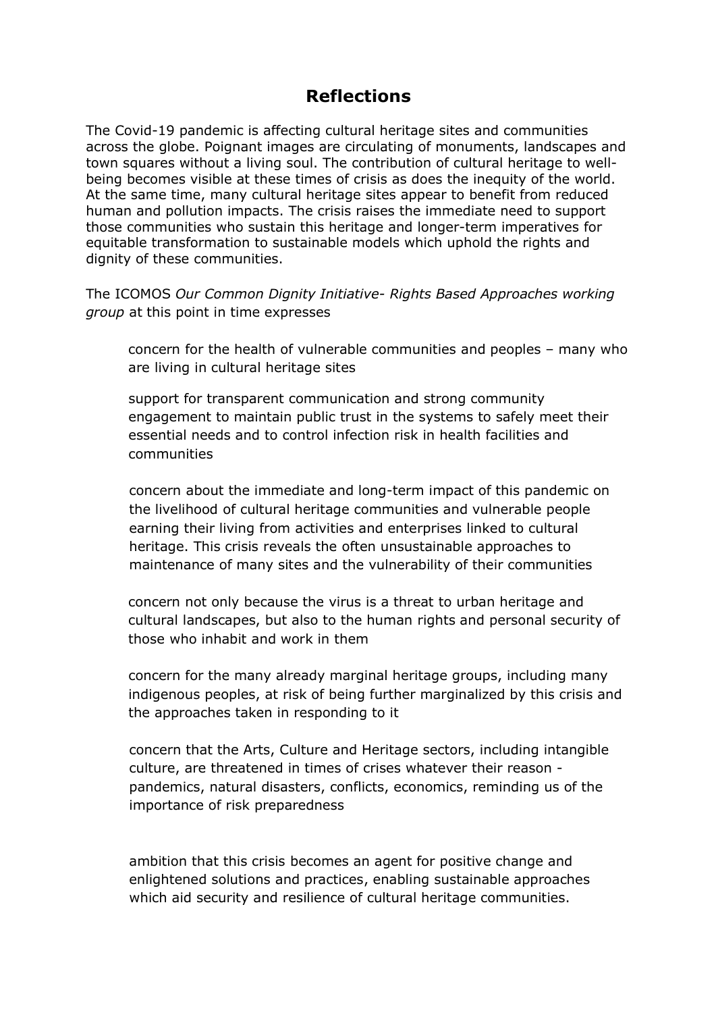## **Reflections**

The Covid-19 pandemic is affecting cultural heritage sites and communities across the globe. Poignant images are circulating of monuments, landscapes and town squares without a living soul. The contribution of cultural heritage to wellbeing becomes visible at these times of crisis as does the inequity of the world. At the same time, many cultural heritage sites appear to benefit from reduced human and pollution impacts. The crisis raises the immediate need to support those communities who sustain this heritage and longer-term imperatives for equitable transformation to sustainable models which uphold the rights and dignity of these communities.

The ICOMOS *Our Common Dignity Initiative- Rights Based Approaches working group* at this point in time expresses

concern for the health of vulnerable communities and peoples – many who are living in cultural heritage sites

support for transparent communication and strong community engagement to maintain public trust in the systems to safely meet their essential needs and to control infection risk in health facilities and communities

concern about the immediate and long-term impact of this pandemic on the livelihood of cultural heritage communities and vulnerable people earning their living from activities and enterprises linked to cultural heritage. This crisis reveals the often unsustainable approaches to maintenance of many sites and the vulnerability of their communities

concern not only because the virus is a threat to urban heritage and cultural landscapes, but also to the human rights and personal security of those who inhabit and work in them

concern for the many already marginal heritage groups, including many indigenous peoples, at risk of being further marginalized by this crisis and the approaches taken in responding to it

concern that the Arts, Culture and Heritage sectors, including intangible culture, are threatened in times of crises whatever their reason pandemics, natural disasters, conflicts, economics, reminding us of the importance of risk preparedness

ambition that this crisis becomes an agent for positive change and enlightened solutions and practices, enabling sustainable approaches which aid security and resilience of cultural heritage communities.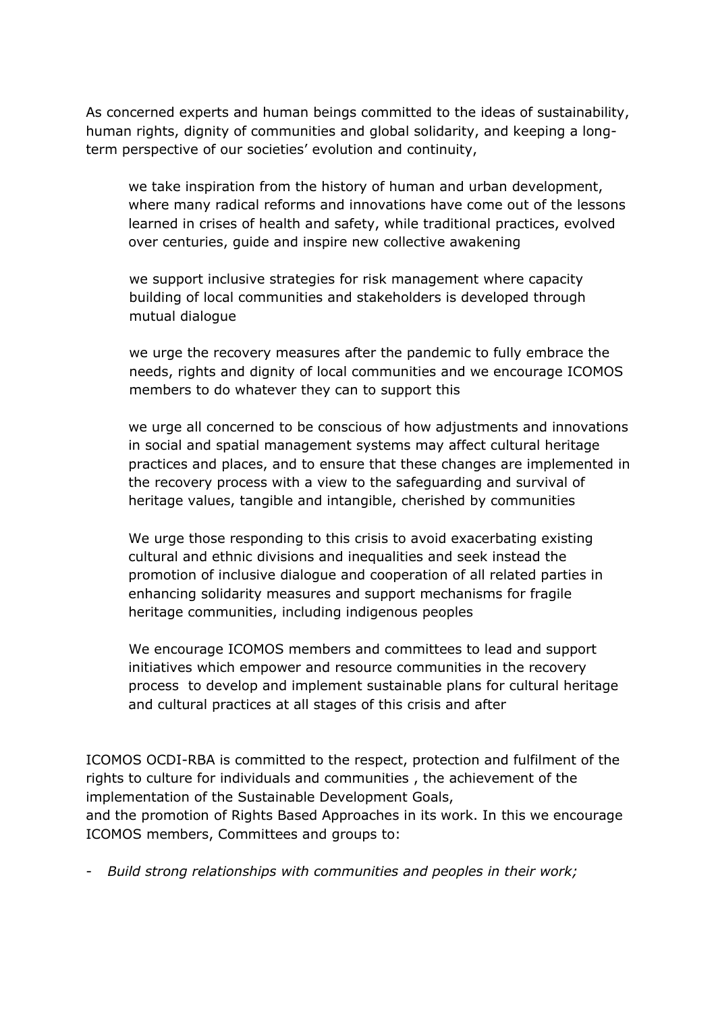As concerned experts and human beings committed to the ideas of sustainability, human rights, dignity of communities and global solidarity, and keeping a longterm perspective of our societies' evolution and continuity,

we take inspiration from the history of human and urban development, where many radical reforms and innovations have come out of the lessons learned in crises of health and safety, while traditional practices, evolved over centuries, guide and inspire new collective awakening

we support inclusive strategies for risk management where capacity building of local communities and stakeholders is developed through mutual dialogue

we urge the recovery measures after the pandemic to fully embrace the needs, rights and dignity of local communities and we encourage ICOMOS members to do whatever they can to support this

we urge all concerned to be conscious of how adjustments and innovations in social and spatial management systems may affect cultural heritage practices and places, and to ensure that these changes are implemented in the recovery process with a view to the safeguarding and survival of heritage values, tangible and intangible, cherished by communities

We urge those responding to this crisis to avoid exacerbating existing cultural and ethnic divisions and inequalities and seek instead the promotion of inclusive dialogue and cooperation of all related parties in enhancing solidarity measures and support mechanisms for fragile heritage communities, including indigenous peoples

We encourage ICOMOS members and committees to lead and support initiatives which empower and resource communities in the recovery process to develop and implement sustainable plans for cultural heritage and cultural practices at all stages of this crisis and after

ICOMOS OCDI-RBA is committed to the respect, protection and fulfilment of the rights to culture for individuals and communities , the achievement of the implementation of the Sustainable Development Goals,

and the promotion of Rights Based Approaches in its work. In this we encourage ICOMOS members, Committees and groups to:

- *Build strong relationships with communities and peoples in their work;*